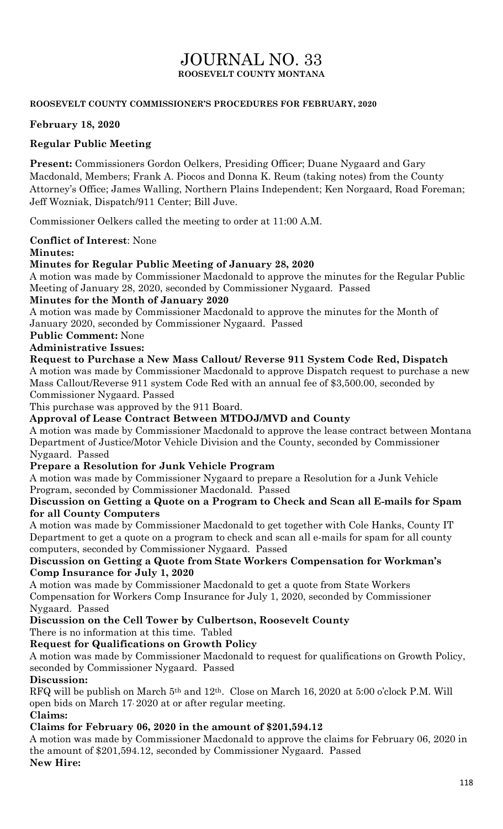# JOURNAL NO. 33 **ROOSEVELT COUNTY MONTANA**

### **ROOSEVELT COUNTY COMMISSIONER'S PROCEDURES FOR FEBRUARY, 2020**

#### **February 18, 2020**

### **Regular Public Meeting**

**Present:** Commissioners Gordon Oelkers, Presiding Officer; Duane Nygaard and Gary Macdonald, Members; Frank A. Piocos and Donna K. Reum (taking notes) from the County Attorney's Office; James Walling, Northern Plains Independent; Ken Norgaard, Road Foreman; Jeff Wozniak, Dispatch/911 Center; Bill Juve.

Commissioner Oelkers called the meeting to order at 11:00 A.M.

**Conflict of Interest**: None

#### **Minutes:**

### **Minutes for Regular Public Meeting of January 28, 2020**

A motion was made by Commissioner Macdonald to approve the minutes for the Regular Public Meeting of January 28, 2020, seconded by Commissioner Nygaard. Passed

#### **Minutes for the Month of January 2020**

A motion was made by Commissioner Macdonald to approve the minutes for the Month of January 2020, seconded by Commissioner Nygaard. Passed

### **Public Comment:** None

**Administrative Issues:**

### **Request to Purchase a New Mass Callout/ Reverse 911 System Code Red, Dispatch**

A motion was made by Commissioner Macdonald to approve Dispatch request to purchase a new Mass Callout/Reverse 911 system Code Red with an annual fee of \$3,500.00, seconded by Commissioner Nygaard. Passed

This purchase was approved by the 911 Board.

### **Approval of Lease Contract Between MTDOJ/MVD and County**

A motion was made by Commissioner Macdonald to approve the lease contract between Montana Department of Justice/Motor Vehicle Division and the County, seconded by Commissioner Nygaard. Passed

### **Prepare a Resolution for Junk Vehicle Program**

A motion was made by Commissioner Nygaard to prepare a Resolution for a Junk Vehicle Program, seconded by Commissioner Macdonald. Passed

### **Discussion on Getting a Quote on a Program to Check and Scan all E-mails for Spam for all County Computers**

A motion was made by Commissioner Macdonald to get together with Cole Hanks, County IT Department to get a quote on a program to check and scan all e-mails for spam for all county computers, seconded by Commissioner Nygaard. Passed

### **Discussion on Getting a Quote from State Workers Compensation for Workman's Comp Insurance for July 1, 2020**

A motion was made by Commissioner Macdonald to get a quote from State Workers Compensation for Workers Comp Insurance for July 1, 2020, seconded by Commissioner Nygaard. Passed

**Discussion on the Cell Tower by Culbertson, Roosevelt County**

There is no information at this time. Tabled

### **Request for Qualifications on Growth Policy**

A motion was made by Commissioner Macdonald to request for qualifications on Growth Policy, seconded by Commissioner Nygaard. Passed

### **Discussion:**

RFQ will be publish on March 5th and 12th. Close on March 16, 2020 at 5:00 o'clock P.M. Will open bids on March 17, 2020 at or after regular meeting. **Claims:**

## **Claims for February 06, 2020 in the amount of \$201,594.12**

A motion was made by Commissioner Macdonald to approve the claims for February 06, 2020 in the amount of \$201,594.12, seconded by Commissioner Nygaard. Passed **New Hire:**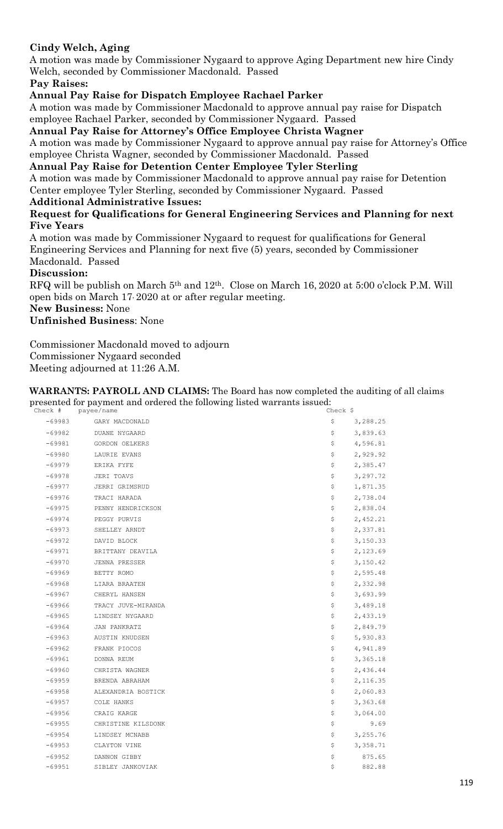### **Cindy Welch, Aging**

A motion was made by Commissioner Nygaard to approve Aging Department new hire Cindy Welch, seconded by Commissioner Macdonald. Passed

**Pay Raises:**

**Annual Pay Raise for Dispatch Employee Rachael Parker** 

A motion was made by Commissioner Macdonald to approve annual pay raise for Dispatch employee Rachael Parker, seconded by Commissioner Nygaard. Passed

**Annual Pay Raise for Attorney's Office Employee Christa Wagner**

A motion was made by Commissioner Nygaard to approve annual pay raise for Attorney's Office employee Christa Wagner, seconded by Commissioner Macdonald. Passed

#### **Annual Pay Raise for Detention Center Employee Tyler Sterling**

A motion was made by Commissioner Macdonald to approve annual pay raise for Detention Center employee Tyler Sterling, seconded by Commissioner Nygaard. Passed

#### **Additional Administrative Issues:**

#### **Request for Qualifications for General Engineering Services and Planning for next Five Years**

A motion was made by Commissioner Nygaard to request for qualifications for General Engineering Services and Planning for next five (5) years, seconded by Commissioner Macdonald. Passed

#### **Discussion:**

RFQ will be publish on March 5th and 12th. Close on March 16, 2020 at 5:00 o'clock P.M. Will open bids on March 17, 2020 at or after regular meeting.

**New Business:** None

**Unfinished Business**: None

Commissioner Macdonald moved to adjourn Commissioner Nygaard seconded Meeting adjourned at 11:26 A.M.

#### **WARRANTS: PAYROLL AND CLAIMS:** The Board has now completed the auditing of all claims presented for payment and ordered the following listed warrants issued:

|          | Check # payee/name | Check \$       |
|----------|--------------------|----------------|
| $-69983$ | GARY MACDONALD     | \$<br>3,288.25 |
| $-69982$ | DUANE NYGAARD      | 3,839.63<br>\$ |
| $-69981$ | GORDON OELKERS     | 4,596.81<br>\$ |
| $-69980$ | LAURIE EVANS       | \$<br>2,929.92 |
| $-69979$ | ERIKA FYFE         | \$<br>2,385.47 |
| $-69978$ | JERI TOAVS         | \$<br>3,297.72 |
| $-69977$ | JERRI GRIMSRUD     | \$<br>1,871.35 |
| $-69976$ | TRACI HARADA       | \$<br>2,738.04 |
| $-69975$ | PENNY HENDRICKSON  | \$<br>2,838.04 |
| $-69974$ | PEGGY PURVIS       | \$<br>2,452.21 |
| -69973   | SHELLEY ARNDT      | \$<br>2,337.81 |
| $-69972$ | DAVID BLOCK        | \$<br>3,150.33 |
| $-69971$ | BRITTANY DEAVILA   | 2,123.69<br>\$ |
| $-69970$ | JENNA PRESSER      | \$<br>3,150.42 |
| -69969   | BETTY ROMO         | \$<br>2,595.48 |
| $-69968$ | LIARA BRAATEN      | \$<br>2,332.98 |
| $-69967$ | CHERYL HANSEN      | \$<br>3,693.99 |
| $-69966$ | TRACY JUVE-MIRANDA | \$<br>3,489.18 |
| $-69965$ | LINDSEY NYGAARD    | \$<br>2,433.19 |
| $-69964$ | JAN PANKRATZ       | \$<br>2,849.79 |
| $-69963$ | AUSTIN KNUDSEN     | \$<br>5,930.83 |
| $-69962$ | FRANK PIOCOS       | \$<br>4,941.89 |
| $-69961$ | DONNA REUM         | 3,365.18<br>\$ |
| $-69960$ | CHRISTA WAGNER     | 2,436.44<br>\$ |
| $-69959$ | BRENDA ABRAHAM     | \$<br>2,116.35 |
| $-69958$ | ALEXANDRIA BOSTICK | 2,060.83<br>\$ |
| $-69957$ | COLE HANKS         | \$<br>3,363.68 |
| $-69956$ | CRAIG KARGE        | 3,064.00<br>\$ |
| $-69955$ | CHRISTINE KILSDONK | \$<br>9.69     |
| $-69954$ | LINDSEY MCNABB     | \$<br>3,255.76 |
| $-69953$ | CLAYTON VINE       | \$<br>3,358.71 |
| $-69952$ | DANNON GIBBY       | \$<br>875.65   |
| $-69951$ | SIBLEY JANKOVIAK   | \$<br>882.88   |
|          |                    |                |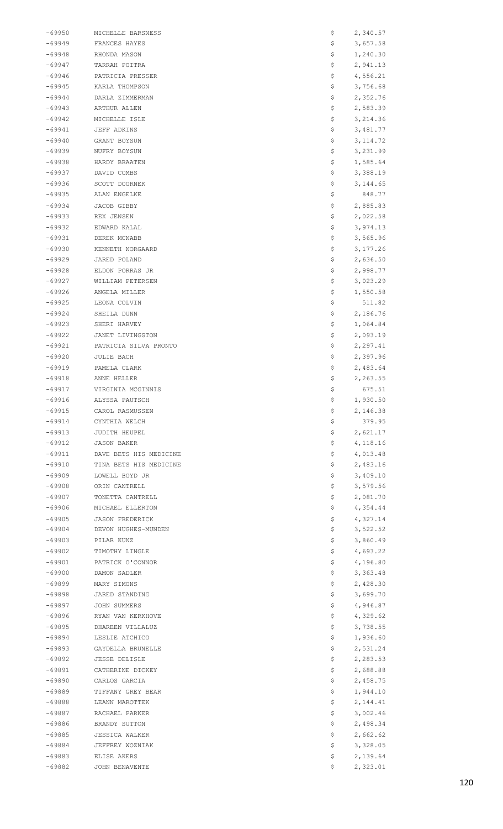| -69950   | MICHELLE BARSNESS      | Ş   | 2,340.57  |
|----------|------------------------|-----|-----------|
| -69949   | FRANCES HAYES          | \$  | 3,657.58  |
|          |                        |     |           |
| -69948   | RHONDA MASON           | \$  | 1,240.30  |
| -69947   | TARRAH POITRA          | \$  | 2,941.13  |
| -69946   | PATRICIA PRESSER       | Ş   | 4,556.21  |
| $-69945$ | KARLA THOMPSON         | \$  | 3,756.68  |
| -69944   | DARLA ZIMMERMAN        | \$  | 2,352.76  |
| -69943   | ARTHUR ALLEN           | \$  | 2,583.39  |
|          |                        |     |           |
| $-69942$ | MICHELLE ISLE          | \$  | 3, 214.36 |
| $-69941$ | JEFF ADKINS            | Ş   | 3,481.77  |
| $-69940$ | GRANT BOYSUN           | \$  | 3, 114.72 |
| -69939   | NUFRY BOYSUN           | \$  | 3,231.99  |
| -69938   | HARDY BRAATEN          | \$  | 1,585.64  |
| -69937   | DAVID COMBS            | \$. | 3,388.19  |
|          |                        |     |           |
| -69936   | SCOTT DOORNEK          | Ş   | 3, 144.65 |
| $-69935$ | ALAN ENGELKE           | Ş   | 848.77    |
| -69934   | JACOB GIBBY            | \$  | 2,885.83  |
| -69933   | REX JENSEN             | \$  | 2,022.58  |
| -69932   | EDWARD KALAL           | \$  | 3,974.13  |
| $-69931$ |                        |     | 3,565.96  |
|          | DEREK MCNABB           | \$  |           |
| $-69930$ | KENNETH NORGAARD       | \$  | 3, 177.26 |
| -69929   | JARED POLAND           | \$  | 2,636.50  |
| -69928   | ELDON PORRAS JR        | \$  | 2,998.77  |
| -69927   | WILLIAM PETERSEN       | \$  | 3,023.29  |
| -69926   | ANGELA MILLER          | \$  | 1,550.58  |
|          |                        |     |           |
| -69925   | LEONA COLVIN           | Ş   | 511.82    |
| $-69924$ | SHEILA DUNN            | \$  | 2,186.76  |
| -69923   | SHERI HARVEY           | \$  | 1,064.84  |
| -69922   | JANET LIVINGSTON       | \$  | 2,093.19  |
| -69921   | PATRICIA SILVA PRONTO  | \$  | 2,297.41  |
| $-69920$ | JULIE BACH             | \$  | 2,397.96  |
|          |                        |     |           |
| $-69919$ | PAMELA CLARK           | \$  | 2,483.64  |
| -69918   | ANNE HELLER            | \$  | 2,263.55  |
| -69917   | VIRGINIA MCGINNIS      | \$  | 675.51    |
| $-69916$ | ALYSSA PAUTSCH         | \$  | 1,930.50  |
| $-69915$ | CAROL RASMUSSEN        | Ş   | 2,146.38  |
|          |                        |     |           |
| $-69914$ | CYNTHIA WELCH          | \$  | 379.95    |
| $-69913$ | JUDITH HEUPEL          | \$  | 2,621.17  |
| -69912   | JASON BAKER            | \$  | 4, 118.16 |
| $-69911$ | DAVE BETS HIS MEDICINE | \$  | 4,013.48  |
| $-69910$ | TINA BETS HIS MEDICINE | \$  | 2,483.16  |
| $-69909$ | LOWELL BOYD JR         | \$  | 3,409.10  |
|          |                        |     |           |
| $-69908$ | ORIN CANTRELL          | \$  | 3,579.56  |
| -69907   | TONETTA CANTRELL       | \$  | 2,081.70  |
| -69906   | MICHAEL ELLERTON       | \$  | 4,354.44  |
| $-69905$ | <b>JASON FREDERICK</b> | \$  | 4,327.14  |
| $-69904$ | DEVON HUGHES-MUNDEN    | \$  | 3,522.52  |
| $-69903$ | PILAR KUNZ             | \$  | 3,860.49  |
|          |                        |     |           |
| -69902   | TIMOTHY LINGLE         | \$  | 4,693.22  |
| -69901   | PATRICK O'CONNOR       | \$  | 4,196.80  |
| -69900   | DAMON SADLER           | \$. | 3,363.48  |
| $-69899$ | MARY SIMONS            | Ş   | 2,428.30  |
| -69898   | JARED STANDING         | Ş   | 3,699.70  |
| -69897   | JOHN SUMMERS           | \$  | 4,946.87  |
|          |                        |     |           |
| -69896   | RYAN VAN KERKHOVE      | \$  | 4,329.62  |
| -69895   | DHAREEN VILLALUZ       | \$  | 3,738.55  |
| -69894   | LESLIE ATCHICO         | \$  | 1,936.60  |
| $-69893$ | GAYDELLA BRUNELLE      | \$  | 2,531.24  |
| -69892   | <b>JESSE DELISLE</b>   | \$  | 2,283.53  |
| -69891   | CATHERINE DICKEY       | \$  | 2,688.88  |
|          |                        |     |           |
| -69890   | CARLOS GARCIA          | \$  | 2,458.75  |
| $-69889$ | TIFFANY GREY BEAR      | \$  | 1,944.10  |
| -69888   | LEANN MAROTTEK         | Ş   | 2,144.41  |
| -69887   | RACHAEL PARKER         | \$  | 3,002.46  |
| -69886   | BRANDY SUTTON          | Ş   | 2,498.34  |
| -69885   | <b>JESSICA WALKER</b>  | \$  | 2,662.62  |
| -69884   | JEFFREY WOZNIAK        | \$  | 3,328.05  |
|          |                        |     |           |
| $-69883$ | ELISE AKERS            | \$  | 2,139.64  |
| -69882   | JOHN BENAVENTE         | \$  | 2,323.01  |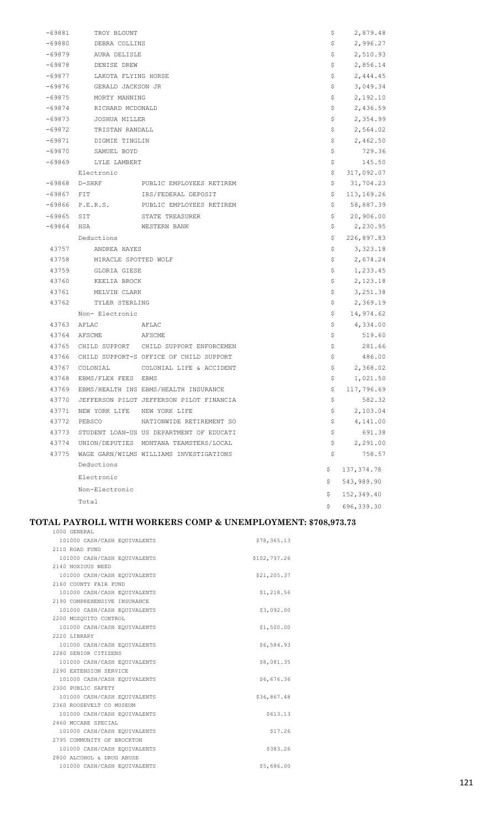| -69881   | TROY BLOUNT                 |                                          | \$ | 2,879.48    |
|----------|-----------------------------|------------------------------------------|----|-------------|
| $-69880$ | DEBRA COLLINS               |                                          | \$ | 2,996.27    |
| $-69879$ | AURA DELISLE                |                                          | \$ | 2,510.93    |
| $-69878$ | DENISE DREW                 |                                          | \$ | 2,856.14    |
| $-69877$ | LAKOTA FLYING HORSE         |                                          | \$ | 2,444.45    |
| -69876   | GERALD JACKSON JR           |                                          | \$ | 3,049.34    |
| $-69875$ | MORTY MANNING               |                                          | \$ | 2,192.10    |
| $-69874$ | RICHARD MCDONALD            |                                          | \$ | 2,436.59    |
| $-69873$ | JOSHUA MILLER               |                                          | \$ | 2,354.99    |
| $-69872$ | TRISTAN RANDALL             |                                          | \$ | 2,564.02    |
| $-69871$ | DIGMIE TINGLIN              |                                          | \$ | 2,462.50    |
| -69870   | SAMUEL BOYD                 |                                          | \$ | 729.36      |
| -69869   | LYLE LAMBERT                |                                          | \$ | 145.50      |
|          | Electronic                  |                                          | \$ | 317,092.07  |
| -69868   | D-SHRF                      | PUBLIC EMPLOYEES RETIREM                 | \$ | 31,704.23   |
| $-69867$ | $_{\rm{FIT}}$               | IRS/FEDERAL DEPOSIT                      | \$ | 113,169.26  |
| -69866   | P.E.R.S.                    | PUBLIC EMPLOYEES RETIREM                 | \$ | 58,887.39   |
| $-69865$ | SIT                         | STATE TREASURER                          | \$ | 20,906.00   |
| $-69864$ | HSA                         | WESTERN BANK                             | \$ | 2,230.95    |
|          | Deductions                  |                                          | \$ | 226,897.83  |
| 43757    | ANDREA HAYES                |                                          | \$ | 3,323.18    |
| 43758    | MIRACLE SPOTTED WOLF        |                                          | \$ | 2,674.24    |
| 43759    | GLORIA GIESE                |                                          | \$ | 1,233.45    |
| 43760    | KEELIA BROCK                |                                          | \$ | 2,123.18    |
| 43761    | MELVIN CLARK                |                                          | \$ | 3, 251.38   |
| 43762    | TYLER STERLING              |                                          | \$ | 2,369.19    |
|          | Non- Electronic             |                                          | \$ | 14,974.62   |
| 43763    | AFLAC                       | AFLAC                                    | \$ | 4,334.00    |
| 43764    | AFSCME<br>AFSCME            |                                          | \$ | 519.60      |
| 43765    |                             | CHILD SUPPORT CHILD SUPPORT ENFORCEMEN   | \$ | 281.66      |
| 43766    |                             | CHILD SUPPORT-S OFFICE OF CHILD SUPPORT  | \$ | 486.00      |
| 43767    | COLONIAL                    | COLONIAL LIFE & ACCIDENT                 | \$ | 2,368.02    |
| 43768    | EBMS/FLEX FEES EBMS         |                                          | \$ | 1,021.50    |
| 43769    |                             | EBMS/HEALTH INS EBMS/HEALTH INSURANCE    | \$ | 117,796.69  |
| 43770    |                             | JEFFERSON PILOT JEFFERSON PILOT FINANCIA | \$ | 582.32      |
| 43771    | NEW YORK LIFE NEW YORK LIFE |                                          | \$ | 2,103.04    |
| 43772    | PEBSCO                      | NATIONWIDE RETIREMENT SO                 | \$ | 4,141.00    |
| 43773    |                             | STUDENT LOAN-US US DEPARTMENT OF EDUCATI | \$ | 691.38      |
| 43774    |                             | UNION/DEPUTIES MONTANA TEAMSTERS/LOCAL   | \$ | 2,291.00    |
| 43775    |                             | WAGE GARN/WILMS WILLIAMS INVESTIGATIONS  | \$ | 758.57      |
|          | Deductions                  |                                          | \$ | 137, 374.78 |
|          | Electronic                  |                                          | \$ | 543,989.90  |
|          | Non-Electronic              |                                          | \$ | 152,349.40  |
|          | Total                       |                                          | Ŝ. | 696, 339.30 |

#### **TOTAL PAYROLL WITH WORKERS COMP & UNEMPLOYMENT: \$708,973.73**

| 1000 GENERAL                 |              |
|------------------------------|--------------|
| 101000 CASH/CASH EQUIVALENTS | \$78,365.13  |
| 2110 ROAD FUND               |              |
| 101000 CASH/CASH EQUIVALENTS | \$102,797.26 |
| 2140 NOXIOUS WEED            |              |
| 101000 CASH/CASH EQUIVALENTS | \$21,205.37  |
| 2160 COUNTY FAIR FUND        |              |
| 101000 CASH/CASH EQUIVALENTS | \$1,218.56   |
| 2190 COMPREHENSIVE INSURANCE |              |
| 101000 CASH/CASH EQUIVALENTS | \$3,092.00   |
| 2200 MOSOUITO CONTROL        |              |
| 101000 CASH/CASH EQUIVALENTS | \$1,500.00   |
| 2220 LIBRARY                 |              |
| 101000 CASH/CASH EQUIVALENTS | \$6,584.93   |
| 2280 SENIOR CITIZENS         |              |
| 101000 CASH/CASH EQUIVALENTS | \$8,081.35   |
| 2290 EXTENSION SERVICE       |              |
| 101000 CASH/CASH EQUIVALENTS | \$6,676.36   |
| 2300 PUBLIC SAFETY           |              |
| 101000 CASH/CASH EQUIVALENTS | \$36,867.48  |
| 2360 ROOSEVELT CO MUSEUM     |              |
| 101000 CASH/CASH EQUIVALENTS | \$613.13     |
| 2460 MCCABE SPECIAL          |              |
| 101000 CASH/CASH EQUIVALENTS | \$17.26      |
| 2795 COMMUNITY OF BROCKTON   |              |
| 101000 CASH/CASH EQUIVALENTS | \$383.26     |
| 2800 ALCOHOL & DRUG ABUSE    |              |
| 101000 CASH/CASH EQUIVALENTS | \$5,686.00   |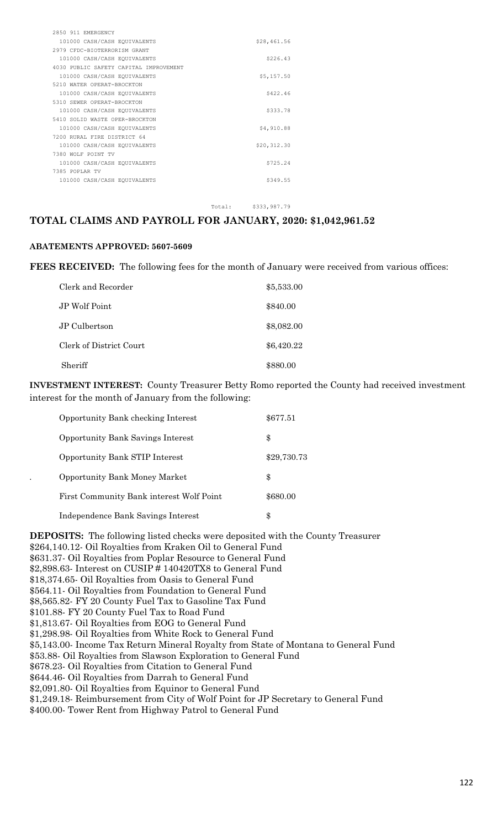| 2850 911 EMERGENCY                     |             |
|----------------------------------------|-------------|
| 101000 CASH/CASH EQUIVALENTS           | \$28,461.56 |
| 2979 CFDC-BIOTERRORISM GRANT           |             |
| 101000 CASH/CASH EQUIVALENTS           | \$226.43    |
| 4030 PUBLIC SAFETY CAPITAL IMPROVEMENT |             |
| 101000 CASH/CASH EQUIVALENTS           | \$5,157.50  |
| 5210 WATER OPERAT-BROCKTON             |             |
| 101000 CASH/CASH EQUIVALENTS           | \$422.46    |
| 5310 SEWER OPERAT-BROCKTON             |             |
| 101000 CASH/CASH EQUIVALENTS           | \$333.78    |
| 5410 SOLID WASTE OPER-BROCKTON         |             |
| 101000 CASH/CASH EQUIVALENTS           | \$4,910.88  |
| 7200 RURAL FIRE DISTRICT 64            |             |
| 101000 CASH/CASH EQUIVALENTS           | \$20,312.30 |
| 7380 WOLF POINT TV                     |             |
| 101000 CASH/CASH EQUIVALENTS           | \$725.24    |
| 7385 POPLAR TV                         |             |
| 101000 CASH/CASH EQUIVALENTS           | \$349.55    |
|                                        |             |

Total: \$333,987.79

#### **TOTAL CLAIMS AND PAYROLL FOR JANUARY, 2020: \$1,042,961.52**

#### **ABATEMENTS APPROVED: 5607-5609**

**FEES RECEIVED:** The following fees for the month of January were received from various offices:

| Clerk and Recorder      | \$5,533.00 |
|-------------------------|------------|
| JP Wolf Point           | \$840.00   |
| JP Culbertson           | \$8,082.00 |
| Clerk of District Court | \$6,420.22 |
| Sheriff                 | \$880.00   |

**INVESTMENT INTEREST:** County Treasurer Betty Romo reported the County had received investment interest for the month of January from the following:

| Opportunity Bank checking Interest       | \$677.51    |
|------------------------------------------|-------------|
| <b>Opportunity Bank Savings Interest</b> | \$          |
| <b>Opportunity Bank STIP Interest</b>    | \$29,730.73 |
| <b>Opportunity Bank Money Market</b>     | \$          |
| First Community Bank interest Wolf Point | \$680.00    |
| Independence Bank Savings Interest       |             |

**DEPOSITS:** The following listed checks were deposited with the County Treasurer \$264,140.12- Oil Royalties from Kraken Oil to General Fund \$631.37- Oil Royalties from Poplar Resource to General Fund \$2,898.63- Interest on CUSIP # 140420TX8 to General Fund \$18,374.65- Oil Royalties from Oasis to General Fund \$564.11- Oil Royalties from Foundation to General Fund \$8,565.82- FY 20 County Fuel Tax to Gasoline Tax Fund \$101.88- FY 20 County Fuel Tax to Road Fund \$1,813.67- Oil Royalties from EOG to General Fund \$1,298.98- Oil Royalties from White Rock to General Fund \$5,143.00- Income Tax Return Mineral Royalty from State of Montana to General Fund \$53.88- Oil Royalties from Slawson Exploration to General Fund \$678.23- Oil Royalties from Citation to General Fund \$644.46- Oil Royalties from Darrah to General Fund \$2,091.80- Oil Royalties from Equinor to General Fund \$1,249.18- Reimbursement from City of Wolf Point for JP Secretary to General Fund \$400.00- Tower Rent from Highway Patrol to General Fund